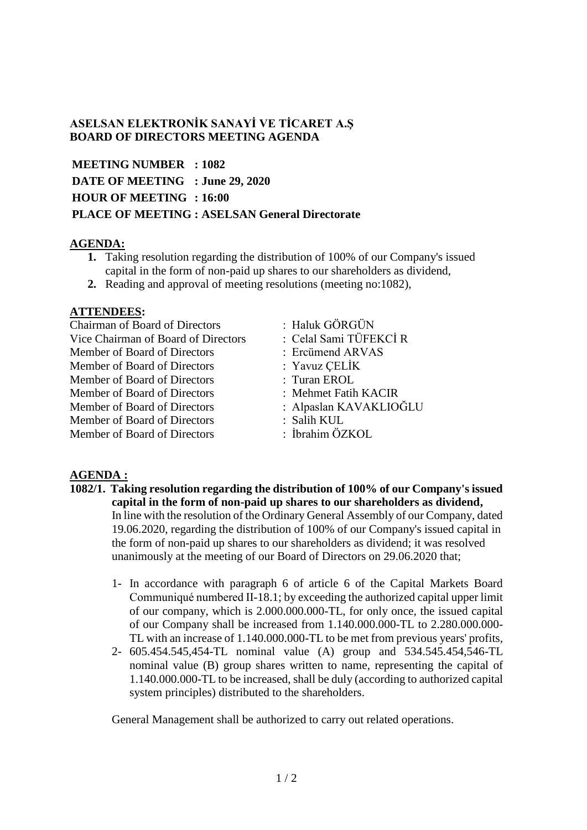## **ASELSAN ELEKTRONİK SANAYİ VE TİCARET A.Ş BOARD OF DIRECTORS MEETING AGENDA**

**MEETING NUMBER : 1082 DATE OF MEETING : June 29, 2020 HOUR OF MEETING : 16:00 PLACE OF MEETING : ASELSAN General Directorate**

## **AGENDA:**

- **1.** Taking resolution regarding the distribution of 100% of our Company's issued capital in the form of non-paid up shares to our shareholders as dividend,
- **2.** Reading and approval of meeting resolutions (meeting no:1082),

## **ATTENDEES:**

| <b>Chairman of Board of Directors</b> | : Haluk GÖRGÜN         |
|---------------------------------------|------------------------|
| Vice Chairman of Board of Directors   | : Celal Sami TÜFEKCİR  |
| Member of Board of Directors          | : Ercümend ARVAS       |
| Member of Board of Directors          | : Yavuz ÇELİK          |
| Member of Board of Directors          | : Turan EROL           |
| Member of Board of Directors          | : Mehmet Fatih KACIR   |
| Member of Board of Directors          | : Alpaslan KAVAKLIOĞLU |
| Member of Board of Directors          | : Salih KUL            |
| Member of Board of Directors          | : İbrahim ÖZKOL        |

## **AGENDA :**

- **1082/1. Taking resolution regarding the distribution of 100% of our Company's issued capital in the form of non-paid up shares to our shareholders as dividend,** In line with the resolution of the Ordinary General Assembly of our Company, dated 19.06.2020, regarding the distribution of 100% of our Company's issued capital in the form of non-paid up shares to our shareholders as dividend; it was resolved unanimously at the meeting of our Board of Directors on 29.06.2020 that;
	- 1- In accordance with paragraph 6 of article 6 of the Capital Markets Board Communiqué numbered II-18.1; by exceeding the authorized capital upper limit of our company, which is 2.000.000.000-TL, for only once, the issued capital of our Company shall be increased from 1.140.000.000-TL to 2.280.000.000- TL with an increase of 1.140.000.000-TL to be met from previous years' profits,
	- 2- 605.454.545,454-TL nominal value (A) group and 534.545.454,546-TL nominal value (B) group shares written to name, representing the capital of 1.140.000.000-TL to be increased, shall be duly (according to authorized capital system principles) distributed to the shareholders.

General Management shall be authorized to carry out related operations.